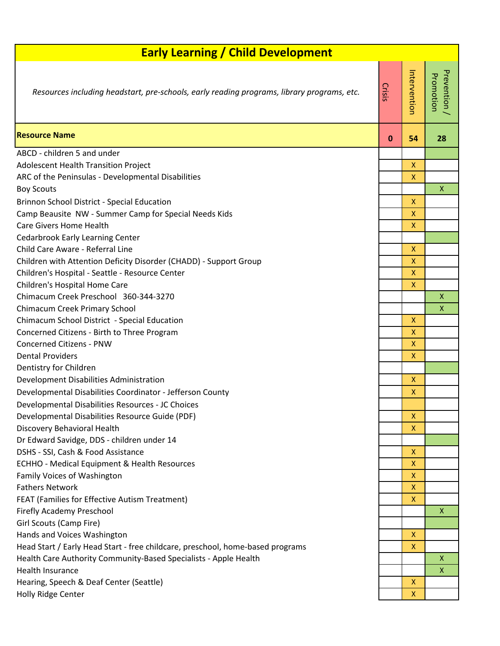| <b>Early Learning / Child Development</b>                                                  |          |                    |                         |  |  |  |
|--------------------------------------------------------------------------------------------|----------|--------------------|-------------------------|--|--|--|
| Resources including headstart, pre-schools, early reading programs, library programs, etc. | Crisis   | Intervention       | Prevention<br>Promotion |  |  |  |
| <b>Resource Name</b>                                                                       | $\bf{0}$ | 54                 | 28                      |  |  |  |
| ABCD - children 5 and under                                                                |          |                    |                         |  |  |  |
| Adolescent Health Transition Project                                                       |          | X                  |                         |  |  |  |
| ARC of the Peninsulas - Developmental Disabilities                                         |          | $\mathsf{x}$       |                         |  |  |  |
| <b>Boy Scouts</b>                                                                          |          |                    | X                       |  |  |  |
| Brinnon School District - Special Education                                                |          | $\mathsf{X}$       |                         |  |  |  |
| Camp Beausite NW - Summer Camp for Special Needs Kids                                      |          | X                  |                         |  |  |  |
| <b>Care Givers Home Health</b>                                                             |          | X                  |                         |  |  |  |
| <b>Cedarbrook Early Learning Center</b>                                                    |          |                    |                         |  |  |  |
| Child Care Aware - Referral Line                                                           |          | X                  |                         |  |  |  |
| Children with Attention Deficity Disorder (CHADD) - Support Group                          |          | $\mathsf{X}$       |                         |  |  |  |
| Children's Hospital - Seattle - Resource Center                                            |          | X.                 |                         |  |  |  |
| Children's Hospital Home Care                                                              |          | $\mathsf{x}$       |                         |  |  |  |
| Chimacum Creek Preschool 360-344-3270                                                      |          |                    | X                       |  |  |  |
| Chimacum Creek Primary School                                                              |          |                    | X                       |  |  |  |
| Chimacum School District - Special Education                                               |          | $\mathsf{X}$       |                         |  |  |  |
| Concerned Citizens - Birth to Three Program                                                |          | X                  |                         |  |  |  |
| <b>Concerned Citizens - PNW</b>                                                            |          | $\mathsf{x}$       |                         |  |  |  |
| <b>Dental Providers</b>                                                                    |          | X                  |                         |  |  |  |
| Dentistry for Children                                                                     |          | $\mathsf{X}$       |                         |  |  |  |
| Development Disabilities Administration                                                    |          | X                  |                         |  |  |  |
| Developmental Disabilities Coordinator - Jefferson County                                  |          |                    |                         |  |  |  |
| Developmental Disabilities Resources - JC Choices                                          |          | $\mathsf{X}$       |                         |  |  |  |
| Developmental Disabilities Resource Guide (PDF)<br>Discovery Behavioral Health             |          | X                  |                         |  |  |  |
| Dr Edward Savidge, DDS - children under 14                                                 |          |                    |                         |  |  |  |
| DSHS - SSI, Cash & Food Assistance                                                         |          | X                  |                         |  |  |  |
| <b>ECHHO - Medical Equipment &amp; Health Resources</b>                                    |          | X                  |                         |  |  |  |
| Family Voices of Washington                                                                |          | X                  |                         |  |  |  |
| <b>Fathers Network</b>                                                                     |          | X                  |                         |  |  |  |
| FEAT (Families for Effective Autism Treatment)                                             |          | X                  |                         |  |  |  |
| <b>Firefly Academy Preschool</b>                                                           |          |                    | X                       |  |  |  |
| Girl Scouts (Camp Fire)                                                                    |          |                    |                         |  |  |  |
| Hands and Voices Washington                                                                |          | X                  |                         |  |  |  |
| Head Start / Early Head Start - free childcare, preschool, home-based programs             |          | $\pmb{\mathsf{X}}$ |                         |  |  |  |
| Health Care Authority Community-Based Specialists - Apple Health                           |          |                    | X                       |  |  |  |
| Health Insurance                                                                           |          |                    | X                       |  |  |  |
| Hearing, Speech & Deaf Center (Seattle)                                                    |          | X                  |                         |  |  |  |
| Holly Ridge Center                                                                         |          | X                  |                         |  |  |  |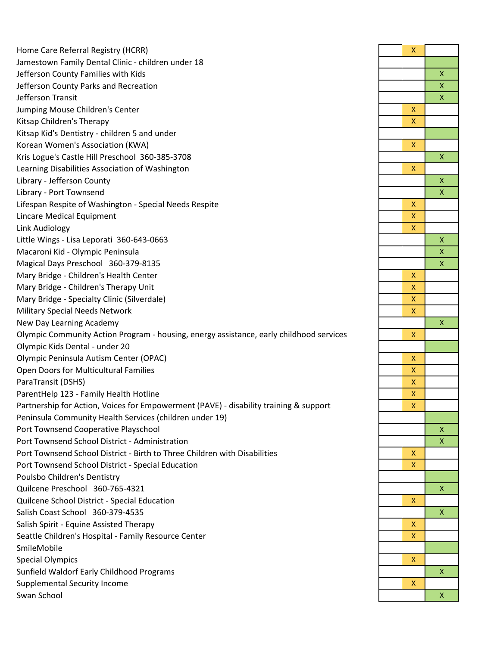[Home Care Referral Registry \(HCRR\)](http://www.hcrr.wa.gov/) X [Jamestown Family Dental Clinic - children under 18](https://jamestowntribe.org/portfolio-items/jamestown-dental-clinic/)  Jefferson County Families with Kids Jefferson County Parks and Recreation Jefferson Transit Jumping Mouse Children's Center Kitsap Children's Therapy [Kitsap Kid's Dentistry - children 5 and under](http://www.kitsapkidsdentistry.com/)  [Korean Women's Association \(KWA\)](https://www.kwacares.org/) X Kris Logue's Castle Hill Preschool 360-385-3708 X [Learning Disabilities Association of Washington](http://www.ldawa.org/) [Library - Jefferson County](http://www.jclibrary.info/) X [Library - Port Townsend](http://www.ptpubliclibrary.org/) X [Lifespan Respite of Washington - Special Needs Respite](http://www.lifespanrespitewa.org/) X Lincare Medical Equipment Link Audiology Little Wings - Lisa Leporati 360-643-0663 [Macaroni Kid - Olympic Peninsula](https://olympicpeninsula.macaronikid.com/) X Magical Days Preschool 360-379-8135 X [Mary Bridge - Children's Health Center](http://www.multicare.org/mary-bridge-childrens-health-center) X [Mary Bridge - Children's Therapy Unit](https://www.marybridge.org/services/childrens-therapy-unit/) X [Mary Bridge - Specialty Clinic \(Silverdale\)](https://www.marybridge.org/locations/mary-bridge-clinic-silverdale/) X [Military Special Needs Network](https://msnnblog.com/) X New Day Learning Academy [Olympic Community Action Program - housing, energy assistance, early childhood services](https://www.olycap.org/) X [Olympic Kids Dental - under 20](http://www.olympickidsdental.com/)  [Olympic Peninsula Autism Center \(OPAC\)](http://www.easterseals.com/washington/our-programs/autism-asd-services/autism-center.html) X **Open Doors for Multicultural Families** [ParaTransit \(DSHS\)](http://www.paratransit.net/) X ParentHelp 123 - Family Health Hotline [Partnership for Action, Voices for Empowerment \(PAVE\) - disability training & support](http://wapave.org/) X [Peninsula Community Health Services \(children under 19\)](https://www.pchsweb.org/) Port Townsend Cooperative Playschool [Port Townsend School District - Administration](https://www.ptschools.org/) X Port Townsend School District - Birth to Three Children with Disabilities Port Townsend School District - Special Education [Poulsbo Children's Dentistry](http://www.poulsbochildrensdentist.com/)  Quilcene Preschool 360-765-4321 [Quilcene School District - Special Education](https://www.quilcene.wednet.edu/) X Salish Coast School 360-379-4535 Salish Spirit - Equine Assisted Therapy Seattle Children's Hospital - Family Resource Center [SmileMobile](http://smilemobilewa.org/)  Special Olympics Sunfield Waldorf Early Childhood Programs Supplemental Security Income [Swan School](http://www.swanschool.net/) X

| X                       |                         |
|-------------------------|-------------------------|
|                         |                         |
|                         |                         |
|                         | $\times$ $\times$       |
|                         |                         |
|                         |                         |
| $\frac{x}{x}$           |                         |
|                         |                         |
| $\overline{\mathsf{x}}$ |                         |
|                         | $\overline{\mathsf{x}}$ |
| $\overline{\mathsf{x}}$ |                         |
|                         |                         |
|                         | $\frac{x}{x}$           |
| $\overline{\mathsf{x}}$ |                         |
| $\overline{\mathsf{x}}$ |                         |
| $\overline{\mathsf{x}}$ |                         |
|                         | $\overline{\mathsf{x}}$ |
|                         | $\overline{\mathsf{x}}$ |
|                         | $\overline{\mathbf{x}}$ |
| $\overline{\mathsf{X}}$ |                         |
|                         |                         |
| $\frac{x}{x}$           |                         |
| $\overline{\mathsf{x}}$ |                         |
|                         | $\overline{\mathsf{x}}$ |
| $\overline{\mathsf{x}}$ |                         |
|                         |                         |
| $\overline{\mathsf{x}}$ |                         |
|                         |                         |
| $\frac{x}{x}$           |                         |
|                         |                         |
| $\frac{x}{x}$           |                         |
|                         |                         |
|                         | $\overline{\mathsf{x}}$ |
|                         | $\overline{\mathsf{x}}$ |
|                         |                         |
| $\frac{x}{x}$           |                         |
|                         |                         |
|                         | X                       |
| X                       |                         |
|                         | $\overline{\mathsf{x}}$ |
| $\overline{\mathsf{x}}$ |                         |
| $\overline{\mathsf{x}}$ |                         |
|                         |                         |
| $\overline{\mathsf{x}}$ |                         |
|                         | $\overline{\mathsf{x}}$ |
|                         |                         |
| $\overline{\mathsf{x}}$ |                         |
|                         | $\overline{\mathsf{x}}$ |